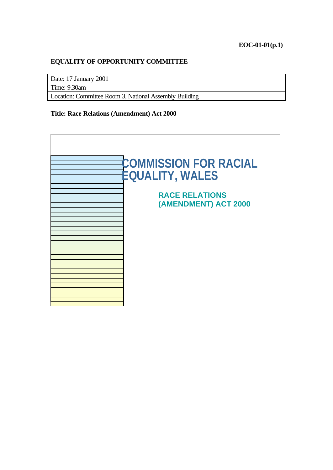#### **EQUALITY OF OPPORTUNITY COMMITTEE**

Date: 17 January 2001

Time: 9.30am

Location: Committee Room 3, National Assembly Building

#### **Title: Race Relations (Amendment) Act 2000**

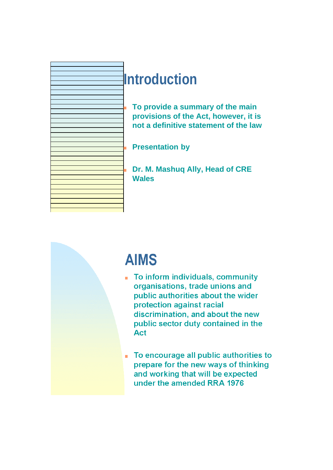

## **Introduction**

<sup>n</sup> **To provide a summary of the main provisions of the Act, however, it is not a definitive statement of the law**

**Presentation by** 

Dr. M. Mashuq Ally, Head of CRE **Wales**

# **AIMS**

- To inform individuals, community organisations, trade unions and public authorities about the wider protection against racial discrimination, and about the new public sector duty contained in the **Act**
- To encourage all public authorities to  $\bar{\phantom{a}}$ prepare for the new ways of thinking and working that will be expected under the amended RRA 1976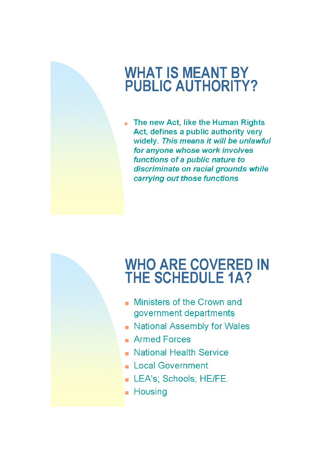#### **WHAT IS MEANT BY PUBLIC AUTHORITY?**

The new Act, like the Human Rights ×. Act, defines a public authority very widely. This means it will be unlawful for anyone whose work involves functions of a public nature to discriminate on racial grounds while carrying out those functions

# **WHO ARE COVERED IN<br>THE SCHEDULE 1A?**

- Ministers of the Crown and government departments
- National Assembly for Wales
- **Armed Forces**
- National Health Service
- Local Government
- LEA's; Schools; HE/FE.
- **Housing**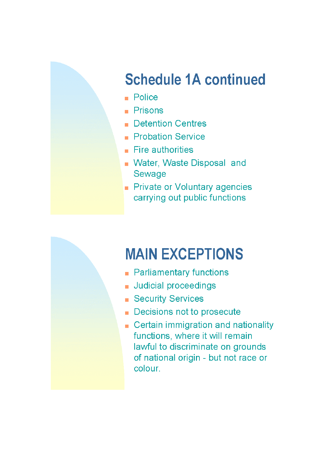# **Schedule 1A continued**

- $\blacksquare$  Police
- $\blacksquare$  Prisons
- **Detention Centres** a.
- Probation Service
- $\blacksquare$  Fire authorities
- **Nater, Waste Disposal and** Sewage
- Private or Voluntary agencies carrying out public functions



- Parliamentary functions
- Judicial proceedings
- **Security Services**
- Decisions not to prosecute
- Certain immigration and nationality functions, where it will remain lawful to discriminate on grounds of national origin - but not race or colour.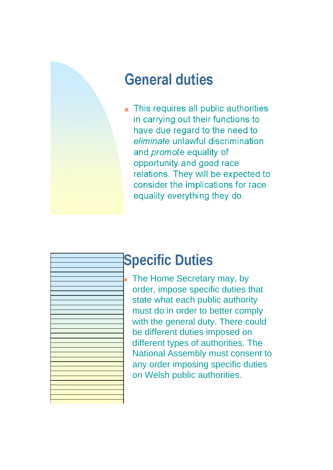

# **General duties**

This requires all public authorities in carrying out their functions to have due regard to the need to eliminate unlawful discrimination and *promote* equality of opportunity and good race relations. They will be expected to consider the implications for race equality everything they do.



# **Specific Duties**

The Home Secretary may, by order, impose specific duties that state what each public authority must do in order to better comply with the general duty. There could be different duties imposed on different types of authorities. The National Assembly must consent to any order imposing specific duties on Welsh public authorities.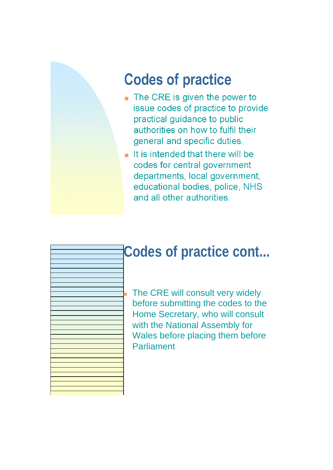

# **Codes of practice**

- The CRE is given the power to issue codes of practice to provide practical quidance to public authorities on how to fulfil their general and specific duties.
- $\blacksquare$  It is intended that there will be codes for central government departments, local government, educational bodies, police, NHS and all other authorities.



## **Codes of practice cont...**

The CRE will consult very widely before submitting the codes to the Home Secretary, who will consult with the National Assembly for Wales before placing them before Parliament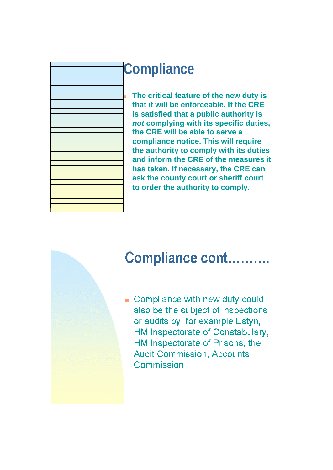

## **Compliance**

The critical feature of the new duty is **that it will be enforceable. If the CRE is satisfied that a public authority is** *not* **complying with its specific duties, the CRE will be able to serve a compliance notice. This will require the authority to comply with its duties and inform the CRE of the measures it has taken. If necessary, the CRE can ask the county court or sheriff court to order the authority to comply.**

#### Compliance cont..........

Compliance with new duty could also be the subject of inspections or audits by, for example Estyn, HM Inspectorate of Constabulary. HM Inspectorate of Prisons, the **Audit Commission, Accounts** Commission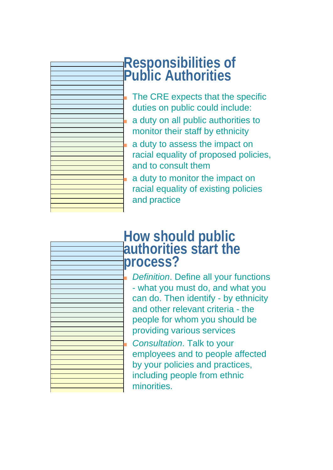

#### **Responsibilities of Public Authorities**

The CRE expects that the specific duties on public could include: <sup>n</sup> a duty on all public authorities to monitor their staff by ethnicity

a duty to assess the impact on racial equality of proposed policies, and to consult them

a duty to monitor the impact on racial equality of existing policies and practice

# **How should public authorities start the process?**

*Definition.* Define all your functions - what you must do, and what you can do. Then identify - by ethnicity and other relevant criteria - the people for whom you should be providing various services **Consultation. Talk to your** employees and to people affected by your policies and practices,

including people from ethnic minorities.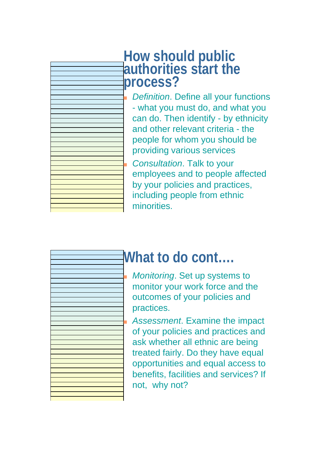

#### **How should public authorities start the process?**

*Definition.* Define all your functions - what you must do, and what you can do. Then identify - by ethnicity and other relevant criteria - the people for whom you should be providing various services <sup>n</sup> *Consultation*. Talk to your employees and to people affected by your policies and practices, including people from ethnic minorities.



#### **What to do cont….**

**Monitoring. Set up systems to** monitor your work force and the outcomes of your policies and practices.

Assessment. Examine the impact of your policies and practices and ask whether all ethnic are being treated fairly. Do they have equal opportunities and equal access to benefits, facilities and services? If not, why not?